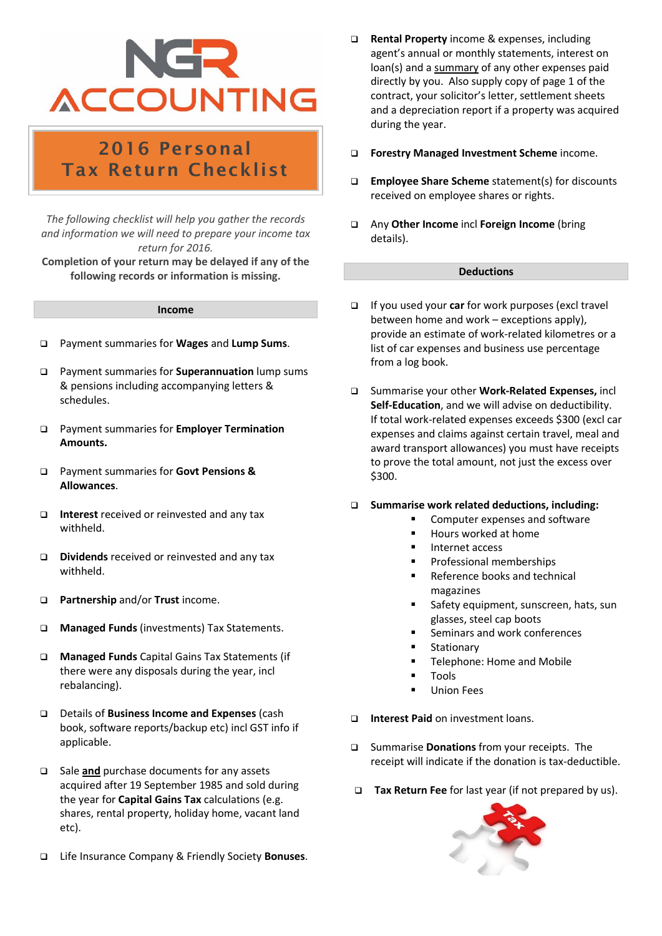# **ACCOUNTING**

### 2016 Personal Tax Return Checklist

*The following checklist will help you gather the records and information we will need to prepare your income tax return for 2016.*

**Completion of your return may be delayed if any of the following records or information is missing.**

#### **Income**

- ❑ Payment summaries for **Wages** and **Lump Sums**.
- ❑ Payment summaries for **Superannuation** lump sums & pensions including accompanying letters & schedules.
- ❑ Payment summaries for **Employer Termination Amounts.**
- ❑ Payment summaries for **Govt Pensions & Allowances**.
- ❑ **Interest** received or reinvested and any tax withheld.
- ❑ **Dividends** received or reinvested and any tax withheld.
- ❑ **Partnership** and/or **Trust** income.
- ❑ **Managed Funds** (investments) Tax Statements.
- ❑ **Managed Funds** Capital Gains Tax Statements (if there were any disposals during the year, incl rebalancing).
- ❑ Details of **Business Income and Expenses** (cash book, software reports/backup etc) incl GST info if applicable.
- ❑ Sale **and** purchase documents for any assets acquired after 19 September 1985 and sold during the year for **Capital Gains Tax** calculations (e.g. shares, rental property, holiday home, vacant land etc).
- ❑ Life Insurance Company & Friendly Society **Bonuses**.
- ❑ **Rental Property** income & expenses, including agent's annual or monthly statements, interest on loan(s) and a summary of any other expenses paid directly by you. Also supply copy of page 1 of the contract, your solicitor's letter, settlement sheets and a depreciation report if a property was acquired during the year.
- ❑ **Forestry Managed Investment Scheme** income.
- ❑ **Employee Share Scheme** statement(s) for discounts received on employee shares or rights.
- ❑ Any **Other Income** incl **Foreign Income** (bring details).

#### **Deductions**

- ❑ If you used your **car** for work purposes (excl travel between home and work – exceptions apply), provide an estimate of work-related kilometres or a list of car expenses and business use percentage from a log book.
- ❑ Summarise your other **Work-Related Expenses,** incl **Self-Education**, and we will advise on deductibility. If total work-related expenses exceeds \$300 (excl car expenses and claims against certain travel, meal and award transport allowances) you must have receipts to prove the total amount, not just the excess over \$300.
- ❑ **Summarise work related deductions, including:**
	- Computer expenses and software
	- Hours worked at home
	- Internet access
	- Professional memberships
	- Reference books and technical magazines
	- Safety equipment, sunscreen, hats, sun glasses, steel cap boots
	- Seminars and work conferences
	- Stationary
		- Telephone: Home and Mobile
	- **Tools**
	- Union Fees
- ❑ **Interest Paid** on investment loans.
- ❑ Summarise **Donations** from your receipts.The receipt will indicate if the donation is tax-deductible.
- ❑ **Tax Return Fee** for last year (if not prepared by us).